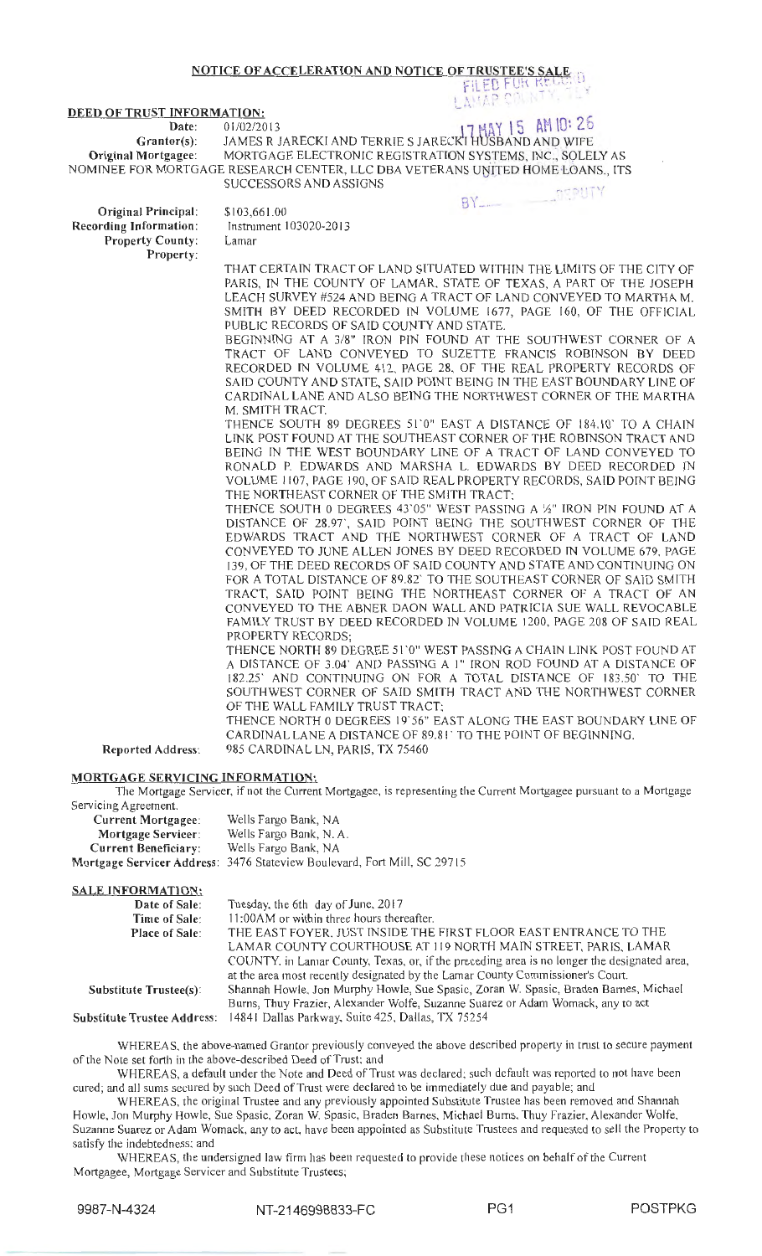## NOTICE OF ACCELERATION AND NOTICE OF TRUSTEE'S SALE FILED FOR RELUIU

### DEED OF TRUST INFORMATION:

Date:

# $17 \text{ MBY}$  15 Grantor(s): JAMES R JARECKI AND TERRIE S JARECKI HUSBAND AND WIFE

Original Mortgagee: MORTGAGE ELECTRONIC REGISTRATION SYSTEMS, INC., SOLELY AS NOMINEE FOR MORTGAGE RESEARCH CENTER, LLC DBA VETERANS UNITED HOME LOANS., ITS SUCCESSORS AND ASSIGNS  $\mathsf{r}$ 

Original Principal: Recording Information: Property County: Property:

\$103,661.00 Instrument I 03020-2013 Lamar

THAT CERTAIN TRACT OF LAND SITUATED WITHIN THE LIMITS OF THE CITY OF PARIS, IN THE COUNTY OF LAMAR. STATE OF TEXAS, A PART OF THE JOSEPH LEACH SURVEY #524 AND BEING A TRACT OF LAND CONVEYED TO MARTHA M. SMITH BY DEED RECORDED IN VOLUME 1677, PAGE 160, OF THE OFFICIAL PUBLIC RECORDS OF SAID COUNTY AND STATE.

 $\mathbb{A}$ 

**BY** 

BEGINNING AT A 3/8" IRON PIN FOUND AT THE SOUTHWEST CORNER OF A TRACT OF LAND CONVEYED TO SUZETTE FRANCIS ROBINSON BY DEED RECORDED IN VOLUME 412, PAGE 28. OF THE REAL PROPERTY RECORDS OF SAID COUNTY AND STATE, SAID POINT BEING IN THE EAST BOUNDARY LINE OF CARDINAL LANE AND ALSO BEING THE NORTHWEST CORNER OF THE MARTHA M. SMITH TRACT.

THENCE SOUTH 89 DEGREES 51.0" EAST A DISTANCE OF 184.10" TO A CHAIN LTNK POST FOUND AT THE SOUTHEAST CORNER OF THE ROBINSON TRACT AND BEING IN THE WEST BOUNDARY LINE OF A TRACT OF LAND CONVEYED TO RONALD P. EDWARDS AND MARSHA L. EDWARDS BY DEED RECORDED IN VOLUME 1107, PAGE 190, OF SAID REAL PROPERTY RECORDS, SAID POINT BEING THE NORTHEAST CORNER OF THE SMITH TRACT:

THENCE SOUTH 0 DEGREES 43'05" WEST PASSING A 1/2" IRON PIN FOUND AT A DISTANCE OF 28.97', SAID POINT BEING THE SOUTHWEST CORNER OF THE EDWARDS TRACT AND THE NORTHWEST CORNER OF A TRACT OF LAND CONVEYED TO JUNE ALLEN JONES BY DEED RECORDED IN VOLUME 679. PAGE 139, OF THE DEED RECORDS OF SAID COUNTY AND STATE AND CONTINUING ON FOR A TOTAL DISTANCE OF 89.82' TO THE SOUTHEAST CORNER OF SAID SMITH TRACT, SAID POINT BEING THE NORTHEAST CORNER OF A TRACT OF AN CONVEYED TO THE ABNER DAON WALL AND PATRICIA SUE WALL REVOCABLE FAMILY TRUST BY DEED RECORDED IN VOLUME 1200, PAGE 208 OF SAID REAL PROPERTY RECORDS;

THENCE NORTH 89 DEGREE 51 '0" WEST PASSING A CHAIN LINK POST FOUND AT A DISTANCE OF 3.04' AND PASSING A I" IRON ROD FOUND AT A DISTANCE OF 182.25' AND CONTINUING ON FOR A TOTAL DISTANCE OF 183.50' TO THE SOUTHWEST CORNER OF SAID SMITH TRACT AND THE NORTHWEST CORNER OF THE WALL FAMILY TRUST TRACT:

THENCE NORTH 0 DEGREES 19'56" EAST ALONG THE EAST BOUNDARY LINE OF CARDINAL LANE A DISTANCE OF 89.81 ' TO THE POINT OF BEGINNING. 985 CARDINAL LN, PARIS, TX 75460

Reported Address:

#### MORTGAGE SERVICING INFORMATION:

The Mortgage Servicer, if not the Current Mortgagee, is representing the Current Mortgagee pursuant to a Mortgage Servicing Agreement.

| <b>Current Mortgagee:</b>   | Wells Fargo Bank, NA                                                     |
|-----------------------------|--------------------------------------------------------------------------|
| Mortgage Servicer:          | Wells Fargo Bank, N. A.                                                  |
| <b>Current Beneficiary:</b> | Wells Fargo Bank, NA                                                     |
|                             | Mortgage Servicer Address: 3476 Stateview Boulevard, Fort Mill, SC 29715 |

### SALE INFORMATION:

| <b>JALE INFORMATION.</b>      |                                                                                             |
|-------------------------------|---------------------------------------------------------------------------------------------|
| Date of Sale:                 | Tuesday, the 6th day of June, 2017                                                          |
| Time of Sale:                 | 11:00 AM or within three hours thereafter.                                                  |
| <b>Place of Sale:</b>         | THE EAST FOYER, JUST INSIDE THE FIRST FLOOR EAST ENTRANCE TO THE                            |
|                               | LAMAR COUNTY COURTHOUSE AT 119 NORTH MAIN STREET, PARIS, LAMAR                              |
|                               | COUNTY, in Lamar County, Texas, or, if the preceding area is no longer the designated area, |
|                               | at the area most recently designated by the Lamar County Commissioner's Court.              |
| <b>Substitute Trustee(s):</b> | Shannah Howle, Jon Murphy Howle, Sue Spasic, Zoran W. Spasic, Braden Barnes, Michael        |
|                               | Burns, Thuy Frazier, Alexander Wolfe, Suzanne Suarez or Adam Womack, any to act             |
|                               | Substitute Trustee Address: 14841 Dallas Parkway, Suite 425, Dallas, TX 75254               |

WHEREAS. the above-named Grantor previously conveyed the above described property in trnst to secure payment of the Note set forth in the above-described Deed of Trust; and

WHEREAS, a default under the Note and Deed of Trust was declared; such default was reported to not have been cured; and all sums secured by such Deed of Trust were dec lared to be immediately due and payable; and

WHEREAS, the original Trustee and any previously appointed Substitute Trustee has been removed and Shannah Howle, Jon Murphy Howle, Sue Spasic. Zoran W. Spasic, Braden Barnes, Michael Bums. Thuy Frazier, Alexander Wolfe, Suzanne Suarez or Adam Womack, any to act, have been appointed as Substitute Trustees and requested to sell the Property to satisfy the indebtedness: and

WHEREAS, the undersigned law firm has been requested to provide these notices on behalf of the Current Mortgagee, Mortgage Servicer and Substitute Trustees;